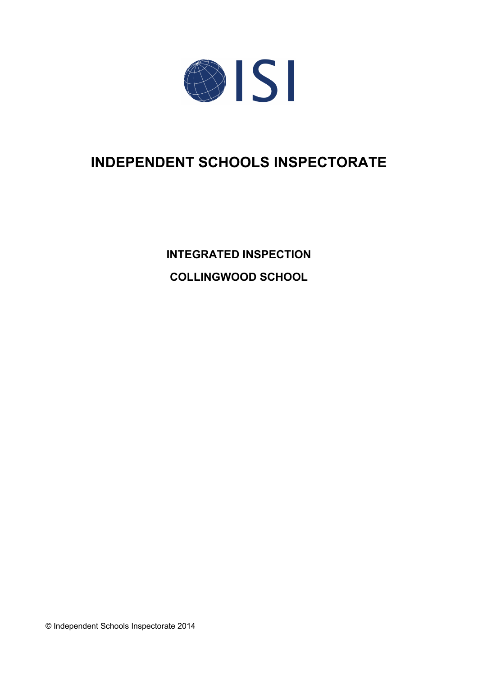

# **INDEPENDENT SCHOOLS INSPECTORATE**

**INTEGRATED INSPECTION COLLINGWOOD SCHOOL**

© Independent Schools Inspectorate 2014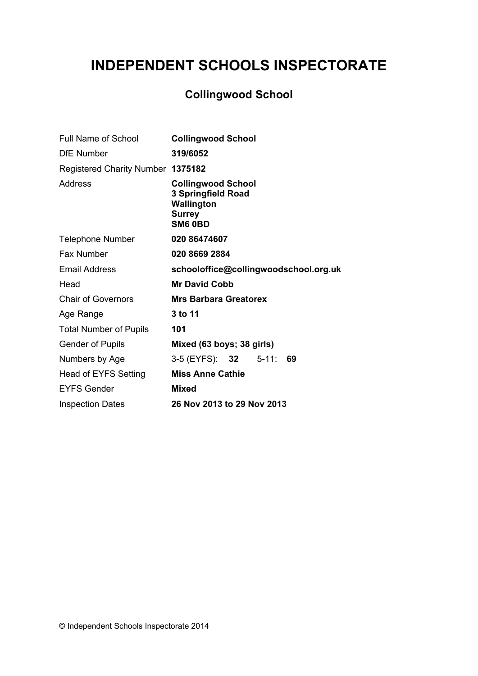# **INDEPENDENT SCHOOLS INSPECTORATE**

## **Collingwood School**

| <b>Full Name of School</b>        | <b>Collingwood School</b>                                                                 |
|-----------------------------------|-------------------------------------------------------------------------------------------|
| <b>DfE Number</b>                 | 319/6052                                                                                  |
| Registered Charity Number 1375182 |                                                                                           |
| Address                           | <b>Collingwood School</b><br>3 Springfield Road<br>Wallington<br><b>Surrey</b><br>SM6 0BD |
| <b>Telephone Number</b>           | 020 86474607                                                                              |
| Fax Number                        | 020 8669 2884                                                                             |
| <b>Email Address</b>              | schooloffice@collingwoodschool.org.uk                                                     |
| Head                              | <b>Mr David Cobb</b>                                                                      |
| <b>Chair of Governors</b>         | <b>Mrs Barbara Greatorex</b>                                                              |
| Age Range                         | 3 to 11                                                                                   |
| <b>Total Number of Pupils</b>     | 101                                                                                       |
| <b>Gender of Pupils</b>           | Mixed (63 boys; 38 girls)                                                                 |
| Numbers by Age                    | 3-5 (EYFS): 32 5-11:<br>69                                                                |
| Head of EYFS Setting              | <b>Miss Anne Cathie</b>                                                                   |
| <b>EYFS Gender</b>                | <b>Mixed</b>                                                                              |
| <b>Inspection Dates</b>           | 26 Nov 2013 to 29 Nov 2013                                                                |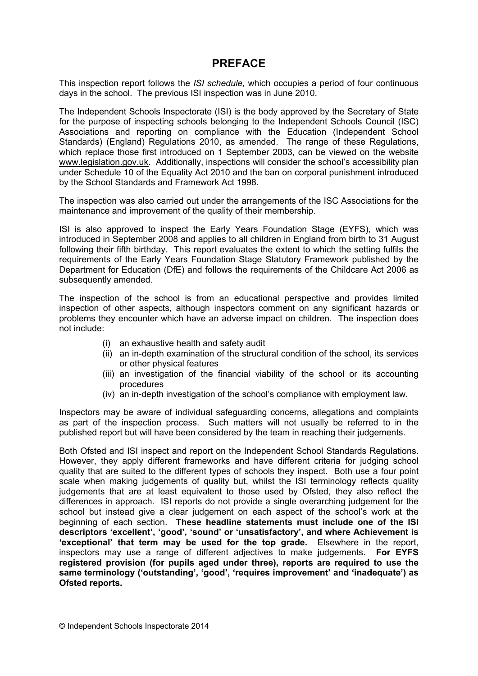### **PREFACE**

This inspection report follows the *ISI schedule,* which occupies a period of four continuous days in the school. The previous ISI inspection was in June 2010.

The Independent Schools Inspectorate (ISI) is the body approved by the Secretary of State for the purpose of inspecting schools belonging to the Independent Schools Council (ISC) Associations and reporting on compliance with the Education (Independent School Standards) (England) Regulations 2010, as amended. The range of these Regulations, which replace those first introduced on 1 September 2003, can be viewed on the website [www.legislation.gov.uk.](http://www.legislation.gov.uk) Additionally, inspections will consider the school's accessibility plan under Schedule 10 of the Equality Act 2010 and the ban on corporal punishment introduced by the School Standards and Framework Act 1998.

The inspection was also carried out under the arrangements of the ISC Associations for the maintenance and improvement of the quality of their membership.

ISI is also approved to inspect the Early Years Foundation Stage (EYFS), which was introduced in September 2008 and applies to all children in England from birth to 31 August following their fifth birthday. This report evaluates the extent to which the setting fulfils the requirements of the Early Years Foundation Stage Statutory Framework published by the Department for Education (DfE) and follows the requirements of the Childcare Act 2006 as subsequently amended.

The inspection of the school is from an educational perspective and provides limited inspection of other aspects, although inspectors comment on any significant hazards or problems they encounter which have an adverse impact on children. The inspection does not include:

- (i) an exhaustive health and safety audit
- (ii) an in-depth examination of the structural condition of the school, its services or other physical features
- (iii) an investigation of the financial viability of the school or its accounting procedures
- (iv) an in-depth investigation of the school's compliance with employment law.

Inspectors may be aware of individual safeguarding concerns, allegations and complaints as part of the inspection process. Such matters will not usually be referred to in the published report but will have been considered by the team in reaching their judgements.

Both Ofsted and ISI inspect and report on the Independent School Standards Regulations. However, they apply different frameworks and have different criteria for judging school quality that are suited to the different types of schools they inspect. Both use a four point scale when making judgements of quality but, whilst the ISI terminology reflects quality judgements that are at least equivalent to those used by Ofsted, they also reflect the differences in approach. ISI reports do not provide a single overarching judgement for the school but instead give a clear judgement on each aspect of the school's work at the beginning of each section. **These headline statements must include one of the ISI descriptors 'excellent', 'good', 'sound' or 'unsatisfactory', and where Achievement is 'exceptional' that term may be used for the top grade.** Elsewhere in the report, inspectors may use a range of different adjectives to make judgements. **For EYFS registered provision (for pupils aged under three), reports are required to use the same terminology ('outstanding', 'good', 'requires improvement' and 'inadequate') as Ofsted reports.**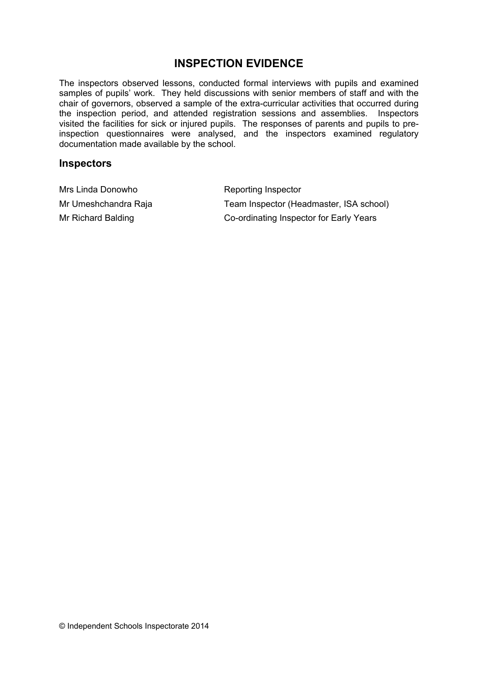## **INSPECTION EVIDENCE**

The inspectors observed lessons, conducted formal interviews with pupils and examined samples of pupils' work. They held discussions with senior members of staff and with the chair of governors, observed a sample of the extra-curricular activities that occurred during the inspection period, and attended registration sessions and assemblies. Inspectors visited the facilities for sick or injured pupils. The responses of parents and pupils to preinspection questionnaires were analysed, and the inspectors examined regulatory documentation made available by the school.

#### **Inspectors**

| Mrs Linda Donowho    | Reporting Inspector                     |
|----------------------|-----------------------------------------|
| Mr Umeshchandra Raja | Team Inspector (Headmaster, ISA school) |
| Mr Richard Balding   | Co-ordinating Inspector for Early Years |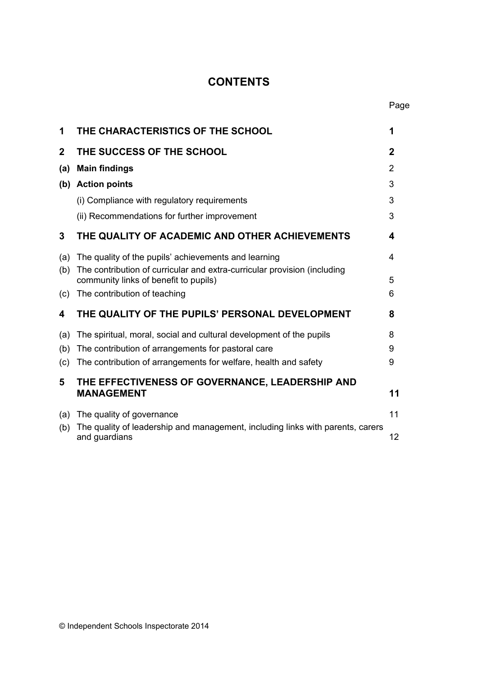## **CONTENTS**

| 1           | THE CHARACTERISTICS OF THE SCHOOL                                                                                 | 1           |
|-------------|-------------------------------------------------------------------------------------------------------------------|-------------|
| $\mathbf 2$ | THE SUCCESS OF THE SCHOOL                                                                                         | $\mathbf 2$ |
| (a)         | <b>Main findings</b>                                                                                              | 2           |
| (b)         | <b>Action points</b>                                                                                              | 3           |
|             | (i) Compliance with regulatory requirements                                                                       | 3           |
|             | (ii) Recommendations for further improvement                                                                      | 3           |
| 3           | THE QUALITY OF ACADEMIC AND OTHER ACHIEVEMENTS                                                                    | 4           |
| (a)         | The quality of the pupils' achievements and learning                                                              | 4           |
| (b)         | The contribution of curricular and extra-curricular provision (including<br>community links of benefit to pupils) | 5           |
| (c)         | The contribution of teaching                                                                                      | 6           |
| 4           | THE QUALITY OF THE PUPILS' PERSONAL DEVELOPMENT                                                                   | 8           |
| (a)         | The spiritual, moral, social and cultural development of the pupils                                               | 8           |
| (b)         | The contribution of arrangements for pastoral care                                                                | 9           |
| (c)         | The contribution of arrangements for welfare, health and safety                                                   | 9           |
| 5           | THE EFFECTIVENESS OF GOVERNANCE, LEADERSHIP AND<br><b>MANAGEMENT</b>                                              | 11          |
| (a)         | The quality of governance                                                                                         | 11          |
| (b)         | The quality of leadership and management, including links with parents, carers<br>and guardians                   | 12          |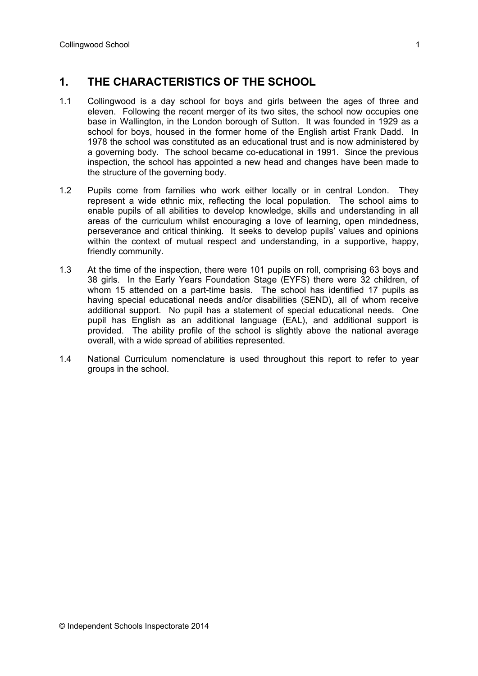## **1. THE CHARACTERISTICS OF THE SCHOOL**

- 1.1 Collingwood is a day school for boys and girls between the ages of three and eleven. Following the recent merger of its two sites, the school now occupies one base in Wallington, in the London borough of Sutton. It was founded in 1929 as a school for boys, housed in the former home of the English artist Frank Dadd. In 1978 the school was constituted as an educational trust and is now administered by a governing body. The school became co-educational in 1991. Since the previous inspection, the school has appointed a new head and changes have been made to the structure of the governing body.
- 1.2 Pupils come from families who work either locally or in central London. They represent a wide ethnic mix, reflecting the local population. The school aims to enable pupils of all abilities to develop knowledge, skills and understanding in all areas of the curriculum whilst encouraging a love of learning, open mindedness, perseverance and critical thinking. It seeks to develop pupils' values and opinions within the context of mutual respect and understanding, in a supportive, happy, friendly community.
- 1.3 At the time of the inspection, there were 101 pupils on roll, comprising 63 boys and 38 girls. In the Early Years Foundation Stage (EYFS) there were 32 children, of whom 15 attended on a part-time basis. The school has identified 17 pupils as having special educational needs and/or disabilities (SEND), all of whom receive additional support. No pupil has a statement of special educational needs. One pupil has English as an additional language (EAL), and additional support is provided. The ability profile of the school is slightly above the national average overall, with a wide spread of abilities represented.
- 1.4 National Curriculum nomenclature is used throughout this report to refer to year groups in the school.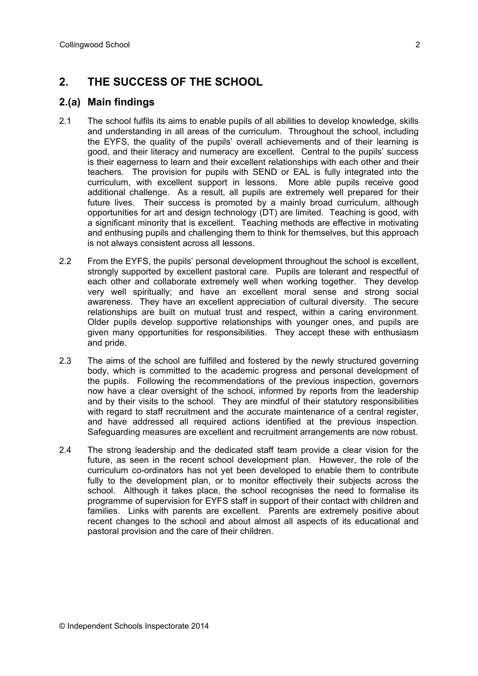## **2. THE SUCCESS OF THE SCHOOL**

#### **2.(a) Main findings**

- 2.1 The school fulfils its aims to enable pupils of all abilities to develop knowledge, skills and understanding in all areas of the curriculum. Throughout the school, including the EYFS, the quality of the pupils' overall achievements and of their learning is good, and their literacy and numeracy are excellent. Central to the pupils' success is their eagerness to learn and their excellent relationships with each other and their teachers. The provision for pupils with SEND or EAL is fully integrated into the curriculum, with excellent support in lessons. More able pupils receive good additional challenge. As a result, all pupils are extremely well prepared for their future lives. Their success is promoted by a mainly broad curriculum, although opportunities for art and design technology (DT) are limited. Teaching is good, with a significant minority that is excellent. Teaching methods are effective in motivating and enthusing pupils and challenging them to think for themselves, but this approach is not always consistent across all lessons.
- 2.2 From the EYFS, the pupils' personal development throughout the school is excellent, strongly supported by excellent pastoral care. Pupils are tolerant and respectful of each other and collaborate extremely well when working together. They develop very well spiritually; and have an excellent moral sense and strong social awareness. They have an excellent appreciation of cultural diversity. The secure relationships are built on mutual trust and respect, within a caring environment. Older pupils develop supportive relationships with younger ones, and pupils are given many opportunities for responsibilities. They accept these with enthusiasm and pride.
- 2.3 The aims of the school are fulfilled and fostered by the newly structured governing body, which is committed to the academic progress and personal development of the pupils. Following the recommendations of the previous inspection, governors now have a clear oversight of the school, informed by reports from the leadership and by their visits to the school. They are mindful of their statutory responsibilities with regard to staff recruitment and the accurate maintenance of a central register, and have addressed all required actions identified at the previous inspection. Safeguarding measures are excellent and recruitment arrangements are now robust.
- 2.4 The strong leadership and the dedicated staff team provide a clear vision for the future, as seen in the recent school development plan. However, the role of the curriculum co-ordinators has not yet been developed to enable them to contribute fully to the development plan, or to monitor effectively their subjects across the school. Although it takes place, the school recognises the need to formalise its programme of supervision for EYFS staff in support of their contact with children and families. Links with parents are excellent. Parents are extremely positive about recent changes to the school and about almost all aspects of its educational and pastoral provision and the care of their children.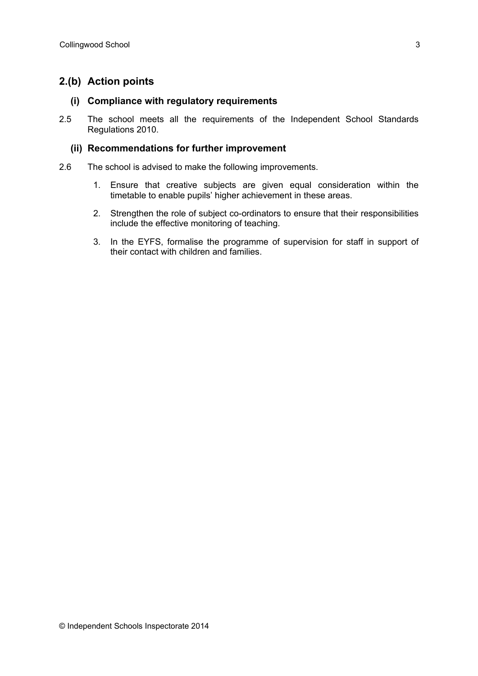#### **2.(b) Action points**

#### **(i) Compliance with regulatory requirements**

2.5 The school meets all the requirements of the Independent School Standards Regulations 2010.

#### **(ii) Recommendations for further improvement**

- 2.6 The school is advised to make the following improvements.
	- 1. Ensure that creative subjects are given equal consideration within the timetable to enable pupils' higher achievement in these areas.
	- 2. Strengthen the role of subject co-ordinators to ensure that their responsibilities include the effective monitoring of teaching.
	- 3. In the EYFS, formalise the programme of supervision for staff in support of their contact with children and families.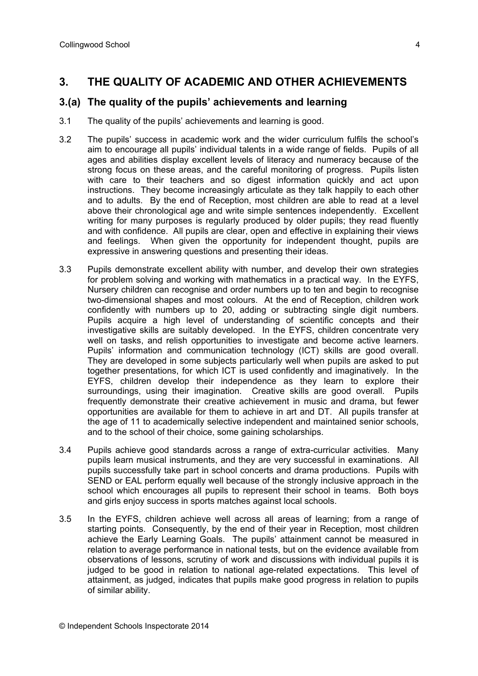## **3. THE QUALITY OF ACADEMIC AND OTHER ACHIEVEMENTS**

#### **3.(a) The quality of the pupils' achievements and learning**

- 3.1 The quality of the pupils' achievements and learning is good.
- 3.2 The pupils' success in academic work and the wider curriculum fulfils the school's aim to encourage all pupils' individual talents in a wide range of fields. Pupils of all ages and abilities display excellent levels of literacy and numeracy because of the strong focus on these areas, and the careful monitoring of progress. Pupils listen with care to their teachers and so digest information quickly and act upon instructions. They become increasingly articulate as they talk happily to each other and to adults. By the end of Reception, most children are able to read at a level above their chronological age and write simple sentences independently. Excellent writing for many purposes is regularly produced by older pupils; they read fluently and with confidence. All pupils are clear, open and effective in explaining their views and feelings. When given the opportunity for independent thought, pupils are expressive in answering questions and presenting their ideas.
- 3.3 Pupils demonstrate excellent ability with number, and develop their own strategies for problem solving and working with mathematics in a practical way. In the EYFS, Nursery children can recognise and order numbers up to ten and begin to recognise two-dimensional shapes and most colours. At the end of Reception, children work confidently with numbers up to 20, adding or subtracting single digit numbers. Pupils acquire a high level of understanding of scientific concepts and their investigative skills are suitably developed. In the EYFS, children concentrate very well on tasks, and relish opportunities to investigate and become active learners. Pupils' information and communication technology (ICT) skills are good overall. They are developed in some subjects particularly well when pupils are asked to put together presentations, for which ICT is used confidently and imaginatively. In the EYFS, children develop their independence as they learn to explore their surroundings, using their imagination. Creative skills are good overall. Pupils frequently demonstrate their creative achievement in music and drama, but fewer opportunities are available for them to achieve in art and DT. All pupils transfer at the age of 11 to academically selective independent and maintained senior schools, and to the school of their choice, some gaining scholarships.
- 3.4 Pupils achieve good standards across a range of extra-curricular activities. Many pupils learn musical instruments, and they are very successful in examinations. All pupils successfully take part in school concerts and drama productions. Pupils with SEND or EAL perform equally well because of the strongly inclusive approach in the school which encourages all pupils to represent their school in teams. Both boys and girls enjoy success in sports matches against local schools.
- 3.5 In the EYFS, children achieve well across all areas of learning; from a range of starting points. Consequently, by the end of their year in Reception, most children achieve the Early Learning Goals. The pupils' attainment cannot be measured in relation to average performance in national tests, but on the evidence available from observations of lessons, scrutiny of work and discussions with individual pupils it is judged to be good in relation to national age-related expectations. This level of attainment, as judged, indicates that pupils make good progress in relation to pupils of similar ability.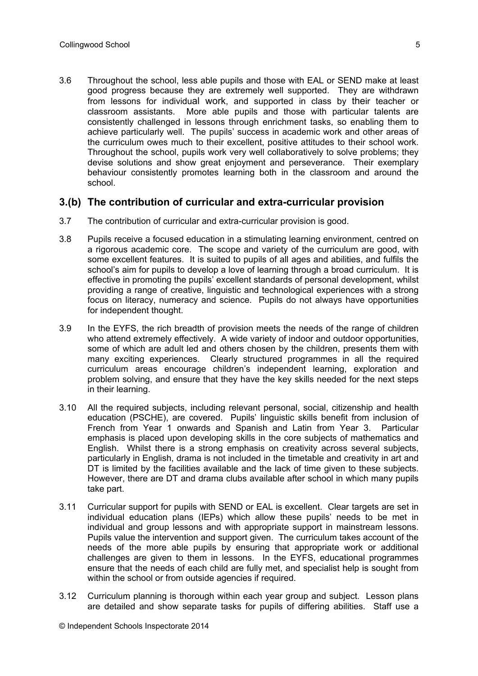3.6 Throughout the school, less able pupils and those with EAL or SEND make at least good progress because they are extremely well supported. They are withdrawn from lessons for individual work, and supported in class by their teacher or classroom assistants. More able pupils and those with particular talents are consistently challenged in lessons through enrichment tasks, so enabling them to achieve particularly well. The pupils' success in academic work and other areas of the curriculum owes much to their excellent, positive attitudes to their school work. Throughout the school, pupils work very well collaboratively to solve problems; they devise solutions and show great enjoyment and perseverance. Their exemplary behaviour consistently promotes learning both in the classroom and around the school.

#### **3.(b) The contribution of curricular and extra-curricular provision**

- 3.7 The contribution of curricular and extra-curricular provision is good.
- 3.8 Pupils receive a focused education in a stimulating learning environment, centred on a rigorous academic core. The scope and variety of the curriculum are good, with some excellent features. It is suited to pupils of all ages and abilities, and fulfils the school's aim for pupils to develop a love of learning through a broad curriculum. It is effective in promoting the pupils' excellent standards of personal development, whilst providing a range of creative, linguistic and technological experiences with a strong focus on literacy, numeracy and science. Pupils do not always have opportunities for independent thought.
- 3.9 In the EYFS, the rich breadth of provision meets the needs of the range of children who attend extremely effectively. A wide variety of indoor and outdoor opportunities, some of which are adult led and others chosen by the children, presents them with many exciting experiences. Clearly structured programmes in all the required curriculum areas encourage children's independent learning, exploration and problem solving, and ensure that they have the key skills needed for the next steps in their learning.
- 3.10 All the required subjects, including relevant personal, social, citizenship and health education (PSCHE), are covered. Pupils' linguistic skills benefit from inclusion of French from Year 1 onwards and Spanish and Latin from Year 3. Particular emphasis is placed upon developing skills in the core subjects of mathematics and English. Whilst there is a strong emphasis on creativity across several subjects, particularly in English, drama is not included in the timetable and creativity in art and DT is limited by the facilities available and the lack of time given to these subjects. However, there are DT and drama clubs available after school in which many pupils take part.
- 3.11 Curricular support for pupils with SEND or EAL is excellent. Clear targets are set in individual education plans (IEPs) which allow these pupils' needs to be met in individual and group lessons and with appropriate support in mainstream lessons. Pupils value the intervention and support given. The curriculum takes account of the needs of the more able pupils by ensuring that appropriate work or additional challenges are given to them in lessons. In the EYFS, educational programmes ensure that the needs of each child are fully met, and specialist help is sought from within the school or from outside agencies if required.
- 3.12 Curriculum planning is thorough within each year group and subject. Lesson plans are detailed and show separate tasks for pupils of differing abilities. Staff use a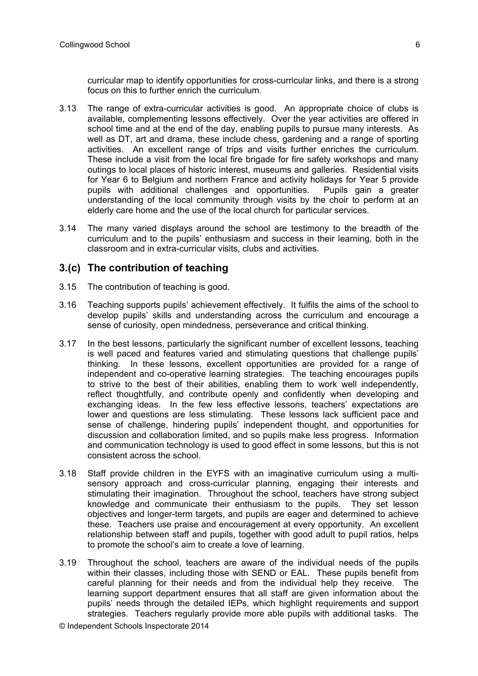curricular map to identify opportunities for cross-curricular links, and there is a strong focus on this to further enrich the curriculum.

- 3.13 The range of extra-curricular activities is good. An appropriate choice of clubs is available, complementing lessons effectively. Over the year activities are offered in school time and at the end of the day, enabling pupils to pursue many interests. As well as DT, art and drama, these include chess, gardening and a range of sporting activities. An excellent range of trips and visits further enriches the curriculum. These include a visit from the local fire brigade for fire safety workshops and many outings to local places of historic interest, museums and galleries. Residential visits for Year 6 to Belgium and northern France and activity holidays for Year 5 provide pupils with additional challenges and opportunities. Pupils gain a greater understanding of the local community through visits by the choir to perform at an elderly care home and the use of the local church for particular services.
- 3.14 The many varied displays around the school are testimony to the breadth of the curriculum and to the pupils' enthusiasm and success in their learning, both in the classroom and in extra-curricular visits, clubs and activities.

#### **3.(c) The contribution of teaching**

- 3.15 The contribution of teaching is good.
- 3.16 Teaching supports pupils' achievement effectively. It fulfils the aims of the school to develop pupils' skills and understanding across the curriculum and encourage a sense of curiosity, open mindedness, perseverance and critical thinking.
- 3.17 In the best lessons, particularly the significant number of excellent lessons, teaching is well paced and features varied and stimulating questions that challenge pupils' thinking. In these lessons, excellent opportunities are provided for a range of independent and co-operative learning strategies. The teaching encourages pupils to strive to the best of their abilities, enabling them to work well independently, reflect thoughtfully, and contribute openly and confidently when developing and exchanging ideas. In the few less effective lessons, teachers' expectations are lower and questions are less stimulating. These lessons lack sufficient pace and sense of challenge, hindering pupils' independent thought, and opportunities for discussion and collaboration limited, and so pupils make less progress. Information and communication technology is used to good effect in some lessons, but this is not consistent across the school.
- 3.18 Staff provide children in the EYFS with an imaginative curriculum using a multisensory approach and cross-curricular planning, engaging their interests and stimulating their imagination. Throughout the school, teachers have strong subject knowledge and communicate their enthusiasm to the pupils. They set lesson objectives and longer-term targets, and pupils are eager and determined to achieve these. Teachers use praise and encouragement at every opportunity. An excellent relationship between staff and pupils, together with good adult to pupil ratios, helps to promote the school's aim to create a love of learning.
- 3.19 Throughout the school, teachers are aware of the individual needs of the pupils within their classes, including those with SEND or EAL. These pupils benefit from careful planning for their needs and from the individual help they receive. The learning support department ensures that all staff are given information about the pupils' needs through the detailed IEPs, which highlight requirements and support strategies. Teachers regularly provide more able pupils with additional tasks. The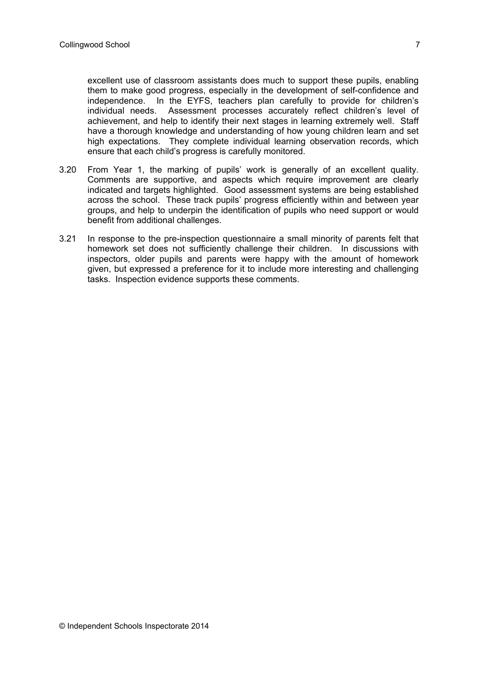excellent use of classroom assistants does much to support these pupils, enabling them to make good progress, especially in the development of self-confidence and independence. In the EYFS, teachers plan carefully to provide for children's individual needs. Assessment processes accurately reflect children's level of achievement, and help to identify their next stages in learning extremely well. Staff have a thorough knowledge and understanding of how young children learn and set high expectations. They complete individual learning observation records, which ensure that each child's progress is carefully monitored.

- 3.20 From Year 1, the marking of pupils' work is generally of an excellent quality. Comments are supportive, and aspects which require improvement are clearly indicated and targets highlighted. Good assessment systems are being established across the school. These track pupils' progress efficiently within and between year groups, and help to underpin the identification of pupils who need support or would benefit from additional challenges.
- 3.21 In response to the pre-inspection questionnaire a small minority of parents felt that homework set does not sufficiently challenge their children. In discussions with inspectors, older pupils and parents were happy with the amount of homework given, but expressed a preference for it to include more interesting and challenging tasks. Inspection evidence supports these comments.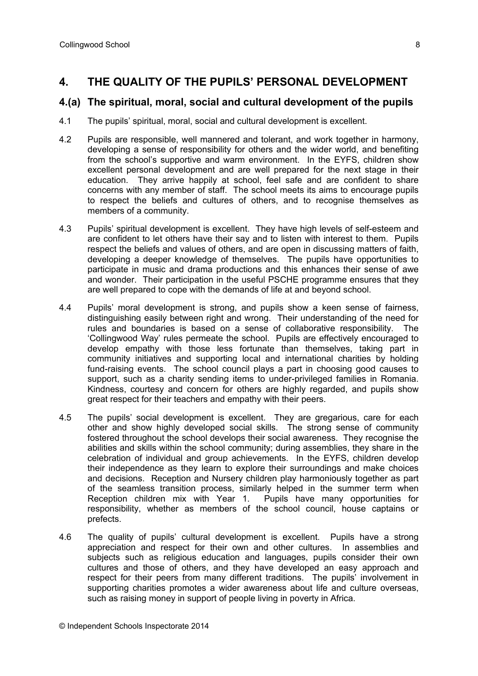## **4. THE QUALITY OF THE PUPILS' PERSONAL DEVELOPMENT**

#### **4.(a) The spiritual, moral, social and cultural development of the pupils**

- 4.1 The pupils' spiritual, moral, social and cultural development is excellent.
- 4.2 Pupils are responsible, well mannered and tolerant, and work together in harmony, developing a sense of responsibility for others and the wider world, and benefiting from the school's supportive and warm environment. In the EYFS, children show excellent personal development and are well prepared for the next stage in their education. They arrive happily at school, feel safe and are confident to share concerns with any member of staff. The school meets its aims to encourage pupils to respect the beliefs and cultures of others, and to recognise themselves as members of a community.
- 4.3 Pupils' spiritual development is excellent. They have high levels of self-esteem and are confident to let others have their say and to listen with interest to them. Pupils respect the beliefs and values of others, and are open in discussing matters of faith, developing a deeper knowledge of themselves. The pupils have opportunities to participate in music and drama productions and this enhances their sense of awe and wonder. Their participation in the useful PSCHE programme ensures that they are well prepared to cope with the demands of life at and beyond school.
- 4.4 Pupils' moral development is strong, and pupils show a keen sense of fairness, distinguishing easily between right and wrong. Their understanding of the need for rules and boundaries is based on a sense of collaborative responsibility. The 'Collingwood Way' rules permeate the school. Pupils are effectively encouraged to develop empathy with those less fortunate than themselves, taking part in community initiatives and supporting local and international charities by holding fund-raising events. The school council plays a part in choosing good causes to support, such as a charity sending items to under-privileged families in Romania. Kindness, courtesy and concern for others are highly regarded, and pupils show great respect for their teachers and empathy with their peers.
- 4.5 The pupils' social development is excellent. They are gregarious, care for each other and show highly developed social skills. The strong sense of community fostered throughout the school develops their social awareness. They recognise the abilities and skills within the school community; during assemblies, they share in the celebration of individual and group achievements. In the EYFS, children develop their independence as they learn to explore their surroundings and make choices and decisions. Reception and Nursery children play harmoniously together as part of the seamless transition process, similarly helped in the summer term when Reception children mix with Year 1. Pupils have many opportunities for responsibility, whether as members of the school council, house captains or prefects.
- 4.6 The quality of pupils' cultural development is excellent. Pupils have a strong appreciation and respect for their own and other cultures. In assemblies and subjects such as religious education and languages, pupils consider their own cultures and those of others, and they have developed an easy approach and respect for their peers from many different traditions. The pupils' involvement in supporting charities promotes a wider awareness about life and culture overseas, such as raising money in support of people living in poverty in Africa.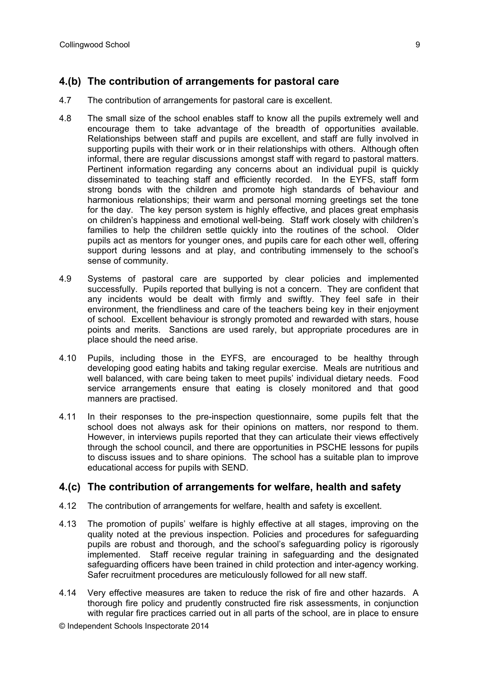## **4.(b) The contribution of arrangements for pastoral care**

- 4.7 The contribution of arrangements for pastoral care is excellent.
- 4.8 The small size of the school enables staff to know all the pupils extremely well and encourage them to take advantage of the breadth of opportunities available. Relationships between staff and pupils are excellent, and staff are fully involved in supporting pupils with their work or in their relationships with others. Although often informal, there are regular discussions amongst staff with regard to pastoral matters. Pertinent information regarding any concerns about an individual pupil is quickly disseminated to teaching staff and efficiently recorded. In the EYFS, staff form strong bonds with the children and promote high standards of behaviour and harmonious relationships; their warm and personal morning greetings set the tone for the day. The key person system is highly effective, and places great emphasis on children's happiness and emotional well-being. Staff work closely with children's families to help the children settle quickly into the routines of the school. Older pupils act as mentors for younger ones, and pupils care for each other well, offering support during lessons and at play, and contributing immensely to the school's sense of community.
- 4.9 Systems of pastoral care are supported by clear policies and implemented successfully. Pupils reported that bullying is not a concern. They are confident that any incidents would be dealt with firmly and swiftly. They feel safe in their environment, the friendliness and care of the teachers being key in their enjoyment of school. Excellent behaviour is strongly promoted and rewarded with stars, house points and merits. Sanctions are used rarely, but appropriate procedures are in place should the need arise.
- 4.10 Pupils, including those in the EYFS, are encouraged to be healthy through developing good eating habits and taking regular exercise. Meals are nutritious and well balanced, with care being taken to meet pupils' individual dietary needs. Food service arrangements ensure that eating is closely monitored and that good manners are practised.
- 4.11 In their responses to the pre-inspection questionnaire, some pupils felt that the school does not always ask for their opinions on matters, nor respond to them. However, in interviews pupils reported that they can articulate their views effectively through the school council, and there are opportunities in PSCHE lessons for pupils to discuss issues and to share opinions. The school has a suitable plan to improve educational access for pupils with SEND.

#### **4.(c) The contribution of arrangements for welfare, health and safety**

- 4.12 The contribution of arrangements for welfare, health and safety is excellent.
- 4.13 The promotion of pupils' welfare is highly effective at all stages, improving on the quality noted at the previous inspection. Policies and procedures for safeguarding pupils are robust and thorough, and the school's safeguarding policy is rigorously implemented. Staff receive regular training in safeguarding and the designated safeguarding officers have been trained in child protection and inter-agency working. Safer recruitment procedures are meticulously followed for all new staff.
- 4.14 Very effective measures are taken to reduce the risk of fire and other hazards. A thorough fire policy and prudently constructed fire risk assessments, in conjunction with regular fire practices carried out in all parts of the school, are in place to ensure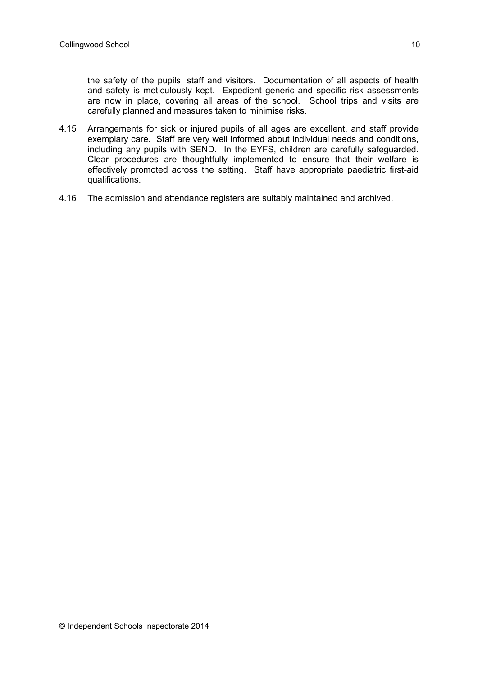the safety of the pupils, staff and visitors. Documentation of all aspects of health and safety is meticulously kept. Expedient generic and specific risk assessments are now in place, covering all areas of the school. School trips and visits are carefully planned and measures taken to minimise risks.

- 4.15 Arrangements for sick or injured pupils of all ages are excellent, and staff provide exemplary care. Staff are very well informed about individual needs and conditions, including any pupils with SEND. In the EYFS, children are carefully safeguarded. Clear procedures are thoughtfully implemented to ensure that their welfare is effectively promoted across the setting. Staff have appropriate paediatric first-aid qualifications.
- 4.16 The admission and attendance registers are suitably maintained and archived.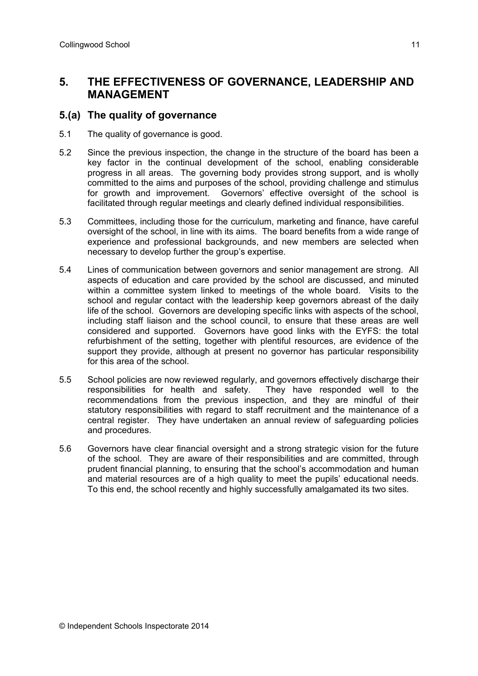## **5. THE EFFECTIVENESS OF GOVERNANCE, LEADERSHIP AND MANAGEMENT**

#### **5.(a) The quality of governance**

- 5.1 The quality of governance is good.
- 5.2 Since the previous inspection, the change in the structure of the board has been a key factor in the continual development of the school, enabling considerable progress in all areas. The governing body provides strong support, and is wholly committed to the aims and purposes of the school, providing challenge and stimulus for growth and improvement. Governors' effective oversight of the school is facilitated through regular meetings and clearly defined individual responsibilities.
- 5.3 Committees, including those for the curriculum, marketing and finance, have careful oversight of the school, in line with its aims. The board benefits from a wide range of experience and professional backgrounds, and new members are selected when necessary to develop further the group's expertise.
- 5.4 Lines of communication between governors and senior management are strong. All aspects of education and care provided by the school are discussed, and minuted within a committee system linked to meetings of the whole board. Visits to the school and regular contact with the leadership keep governors abreast of the daily life of the school. Governors are developing specific links with aspects of the school, including staff liaison and the school council, to ensure that these areas are well considered and supported. Governors have good links with the EYFS: the total refurbishment of the setting, together with plentiful resources, are evidence of the support they provide, although at present no governor has particular responsibility for this area of the school.
- 5.5 School policies are now reviewed regularly, and governors effectively discharge their responsibilities for health and safety. They have responded well to the recommendations from the previous inspection, and they are mindful of their statutory responsibilities with regard to staff recruitment and the maintenance of a central register. They have undertaken an annual review of safeguarding policies and procedures.
- 5.6 Governors have clear financial oversight and a strong strategic vision for the future of the school. They are aware of their responsibilities and are committed, through prudent financial planning, to ensuring that the school's accommodation and human and material resources are of a high quality to meet the pupils' educational needs. To this end, the school recently and highly successfully amalgamated its two sites.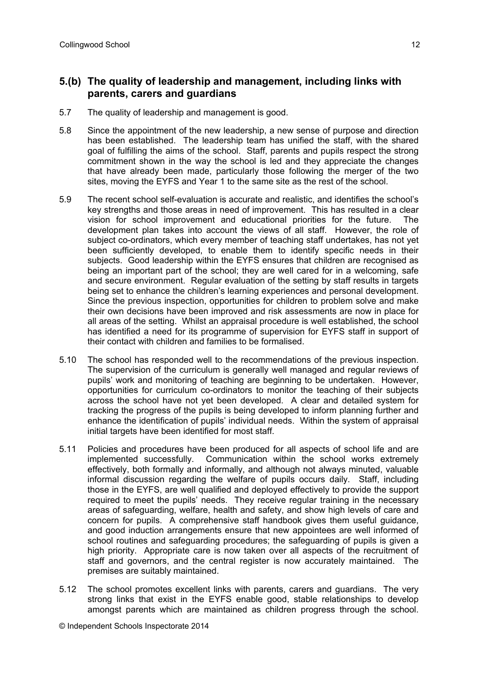#### **5.(b) The quality of leadership and management, including links with parents, carers and guardians**

- 5.7 The quality of leadership and management is good.
- 5.8 Since the appointment of the new leadership, a new sense of purpose and direction has been established. The leadership team has unified the staff, with the shared goal of fulfilling the aims of the school. Staff, parents and pupils respect the strong commitment shown in the way the school is led and they appreciate the changes that have already been made, particularly those following the merger of the two sites, moving the EYFS and Year 1 to the same site as the rest of the school.
- 5.9 The recent school self-evaluation is accurate and realistic, and identifies the school's key strengths and those areas in need of improvement. This has resulted in a clear vision for school improvement and educational priorities for the future. The development plan takes into account the views of all staff. However, the role of subject co-ordinators, which every member of teaching staff undertakes, has not yet been sufficiently developed, to enable them to identify specific needs in their subjects. Good leadership within the EYFS ensures that children are recognised as being an important part of the school; they are well cared for in a welcoming, safe and secure environment. Regular evaluation of the setting by staff results in targets being set to enhance the children's learning experiences and personal development. Since the previous inspection, opportunities for children to problem solve and make their own decisions have been improved and risk assessments are now in place for all areas of the setting. Whilst an appraisal procedure is well established, the school has identified a need for its programme of supervision for EYFS staff in support of their contact with children and families to be formalised.
- 5.10 The school has responded well to the recommendations of the previous inspection. The supervision of the curriculum is generally well managed and regular reviews of pupils' work and monitoring of teaching are beginning to be undertaken. However, opportunities for curriculum co-ordinators to monitor the teaching of their subjects across the school have not yet been developed. A clear and detailed system for tracking the progress of the pupils is being developed to inform planning further and enhance the identification of pupils' individual needs. Within the system of appraisal initial targets have been identified for most staff.
- 5.11 Policies and procedures have been produced for all aspects of school life and are implemented successfully. Communication within the school works extremely effectively, both formally and informally, and although not always minuted, valuable informal discussion regarding the welfare of pupils occurs daily. Staff, including those in the EYFS, are well qualified and deployed effectively to provide the support required to meet the pupils' needs. They receive regular training in the necessary areas of safeguarding, welfare, health and safety, and show high levels of care and concern for pupils. A comprehensive staff handbook gives them useful guidance, and good induction arrangements ensure that new appointees are well informed of school routines and safeguarding procedures; the safeguarding of pupils is given a high priority. Appropriate care is now taken over all aspects of the recruitment of staff and governors, and the central register is now accurately maintained. The premises are suitably maintained.
- 5.12 The school promotes excellent links with parents, carers and guardians. The very strong links that exist in the EYFS enable good, stable relationships to develop amongst parents which are maintained as children progress through the school.